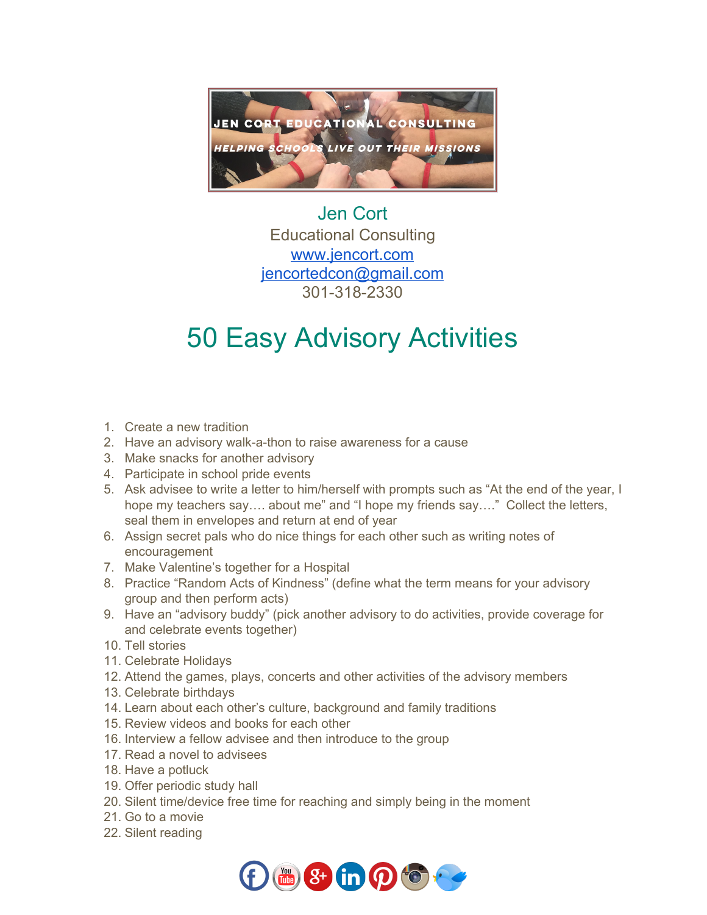

## Jen Cort Educational Consulting [www.jencort.com](http://www.jencort.com/) [jencortedcon@gmail.com](mailto:jencortedcon@gmail.com) 301-318-2330

## 50 Easy Advisory Activities

- 1. Create a new tradition
- 2. Have an advisory walk-a-thon to raise awareness for a cause
- 3. Make snacks for another advisory
- 4. Participate in school pride events
- 5. Ask advisee to write a letter to him/herself with prompts such as "At the end of the year, I hope my teachers say…. about me" and "I hope my friends say…." Collect the letters, seal them in envelopes and return at end of year
- 6. Assign secret pals who do nice things for each other such as writing notes of encouragement
- 7. Make Valentine's together for a Hospital
- 8. Practice "Random Acts of Kindness" (define what the term means for your advisory group and then perform acts)
- 9. Have an "advisory buddy" (pick another advisory to do activities, provide coverage for and celebrate events together)
- 10. Tell stories
- 11. Celebrate Holidays
- 12. Attend the games, plays, concerts and other activities of the advisory members
- 13. Celebrate birthdays
- 14. Learn about each other's culture, background and family traditions
- 15. Review videos and books for each other
- 16. Interview a fellow advisee and then introduce to the group
- 17. Read a novel to advisees
- 18. Have a potluck
- 19. Offer periodic study hall
- 20. Silent time/device free time for reaching and simply being in the moment
- 21. Go to a movie
- 22. Silent reading